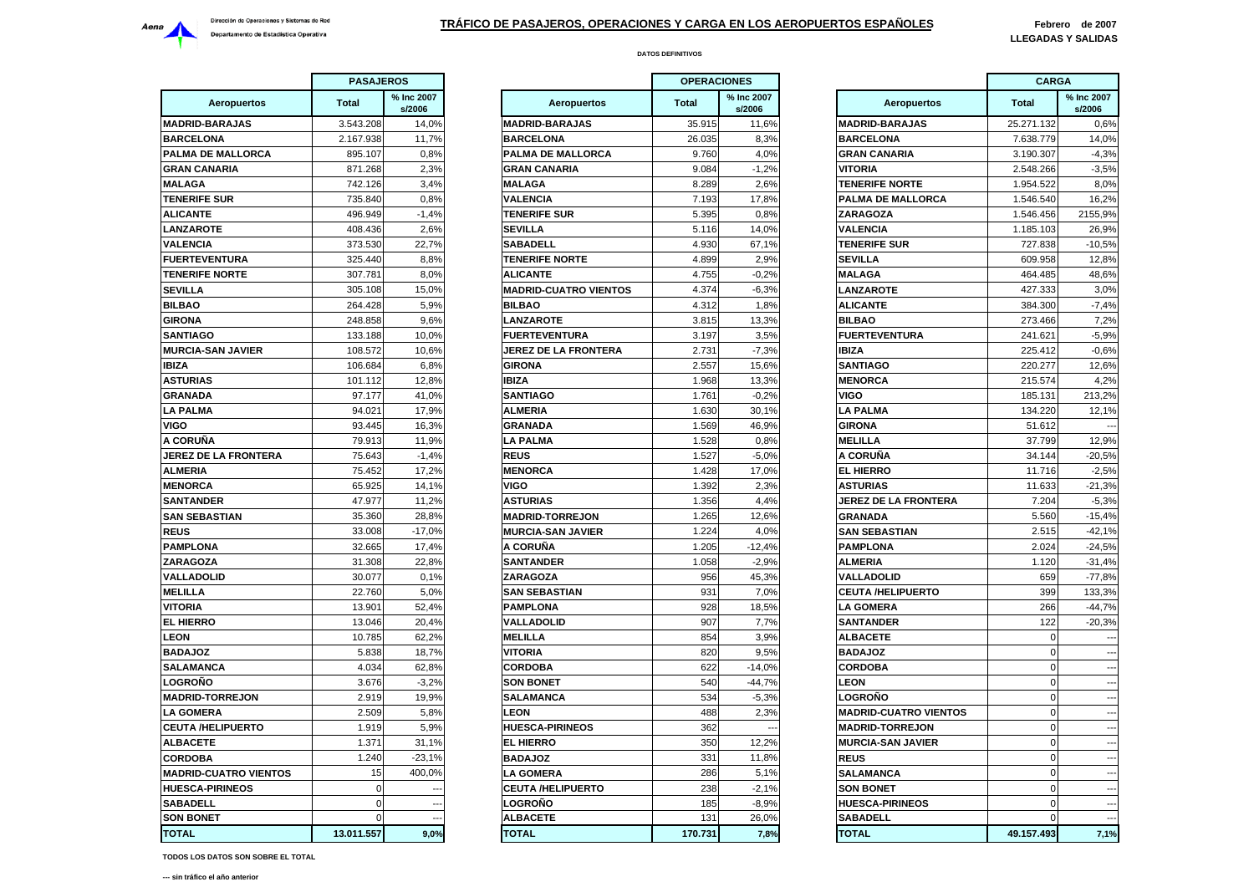

|                              | <b>PASAJEROS</b> |                      |                          |
|------------------------------|------------------|----------------------|--------------------------|
| <b>Aeropuertos</b>           | Total            | % Inc 2007<br>s/2006 | Aeropuertos              |
| <b>MADRID-BARAJAS</b>        | 3.543.208        | 14,0%                | <b>MADRID-BARAJAS</b>    |
| <b>BARCELONA</b>             | 2.167.938        | 11,7%                | <b>BARCELONA</b>         |
| PALMA DE MALLORCA            | 895.107          | 0,8%                 | PALMA DE MALLORC         |
| <b>GRAN CANARIA</b>          | 871.268          | 2,3%                 | <b>GRAN CANARIA</b>      |
| <b>MALAGA</b>                | 742.126          | 3,4%                 | <b>MALAGA</b>            |
| <b>TENERIFE SUR</b>          | 735.840          | 0,8%                 | <b>VALENCIA</b>          |
| <b>ALICANTE</b>              | 496.949          | $-1,4%$              | <b>TENERIFE SUR</b>      |
| <b>LANZAROTE</b>             | 408.436          | 2,6%                 | <b>SEVILLA</b>           |
| <b>VALENCIA</b>              | 373.530          | 22.7%                | <b>SABADELL</b>          |
| <b>FUERTEVENTURA</b>         | 325.440          | 8,8%                 | <b>TENERIFE NORTE</b>    |
| <b>TENERIFE NORTE</b>        | 307.781          | 8,0%                 | <b>ALICANTE</b>          |
| SEVILLA                      | 305.108          | 15,0%                | <b>MADRID-CUATRO VIE</b> |
| <b>BILBAO</b>                | 264.428          | 5,9%                 | <b>BILBAO</b>            |
| <b>GIRONA</b>                | 248.858          | 9,6%                 | LANZAROTE                |
| SANTIAGO                     | 133.188          | 10,0%                | <b>FUERTEVENTURA</b>     |
| <b>MURCIA-SAN JAVIER</b>     | 108.572          | 10,6%                | <b>JEREZ DE LA FRONT</b> |
| <b>IBIZA</b>                 | 106.684          | 6,8%                 | <b>GIRONA</b>            |
| <b>ASTURIAS</b>              | 101.112          | 12,8%                | <b>IBIZA</b>             |
| <b>GRANADA</b>               | 97.177           | 41,0%                | <b>SANTIAGO</b>          |
| <b>LA PALMA</b>              | 94.021           | 17,9%                | <b>ALMERIA</b>           |
| VIGO                         | 93.445           | 16,3%                | <b>GRANADA</b>           |
| A CORUÑA                     | 79.913           | 11,9%                | <b>LA PALMA</b>          |
| <b>JEREZ DE LA FRONTERA</b>  | 75.643           | $-1,4%$              | <b>REUS</b>              |
| ALMERIA                      | 75.452           | 17,2%                | <b>MENORCA</b>           |
| <b>MENORCA</b>               |                  | 14,1%                | VIGO                     |
| <b>SANTANDER</b>             | 65.925<br>47.977 | 11,2%                | <b>ASTURIAS</b>          |
|                              |                  |                      |                          |
| <b>SAN SEBASTIAN</b>         | 35.360           | 28,8%                | <b>MADRID-TORREJON</b>   |
| <b>REUS</b>                  | 33.008           | $-17,0%$             | <b>MURCIA-SAN JAVIER</b> |
| PAMPLONA                     | 32.665           | 17,4%                | A CORUÑA                 |
| <b>ZARAGOZA</b>              | 31.308           | 22,8%                | <b>SANTANDER</b>         |
| VALLADOLID                   | 30.077           | 0,1%                 | <b>ZARAGOZA</b>          |
| MELILLA                      | 22.760           | 5,0%                 | <b>SAN SEBASTIAN</b>     |
| VITORIA                      | 13.901           | 52,4%                | <b>PAMPLONA</b>          |
| <b>EL HIERRO</b>             | 13.046           | 20,4%                | VALLADOLID               |
| <b>LEON</b>                  | 10.785           | 62,2%                | <b>MELILLA</b>           |
| <b>BADAJOZ</b>               | 5.838            | 18,7%                | <b>VITORIA</b>           |
| <b>SALAMANCA</b>             | 4.034            | 62,8%                | CORDOBA                  |
| LOGROÑO                      | 3.676            | $-3,2%$              | <b>SON BONET</b>         |
| <b>MADRID-TORREJON</b>       | 2.919            | 19,9%                | <b>SALAMANCA</b>         |
| <b>LA GOMERA</b>             | 2.509            | 5,8%                 | <b>LEON</b>              |
| <b>CEUTA /HELIPUERTO</b>     | 1.919            | 5,9%                 | <b>HUESCA-PIRINEOS</b>   |
| <b>ALBACETE</b>              | 1.371            | 31,1%                | <b>EL HIERRO</b>         |
| <b>CORDOBA</b>               | 1.240            | $-23,1%$             | <b>BADAJOZ</b>           |
| <b>MADRID-CUATRO VIENTOS</b> | 15               | 400,0%               | <b>LA GOMERA</b>         |
| <b>HUESCA-PIRINEOS</b>       | $\mathbf 0$      |                      | <b>CEUTA /HELIPUERTO</b> |
| <b>SABADELL</b>              | $\mathbf 0$      |                      | LOGROÑO                  |
| <b>SON BONET</b>             | $\mathbf 0$      |                      | <b>ALBACETE</b>          |
| <b>TOTAL</b>                 | 13.011.557       | 9,0%                 | <b>TOTAL</b>             |

|                            |              | <b>PASAJEROS</b><br><b>OPERACIONES</b> |                              |              |                      | <b>CARGA</b>                 |              |                          |
|----------------------------|--------------|----------------------------------------|------------------------------|--------------|----------------------|------------------------------|--------------|--------------------------|
| <b>Aeropuertos</b>         | <b>Total</b> | % Inc 2007<br>s/2006                   | <b>Aeropuertos</b>           | <b>Total</b> | % Inc 2007<br>s/2006 | <b>Aeropuertos</b>           | <b>Total</b> | % Inc 2007<br>s/2006     |
| <b>DRID-BARAJAS</b>        | 3.543.208    | 14,0%                                  | <b>MADRID-BARAJAS</b>        | 35.915       | 11,6%                | <b>MADRID-BARAJAS</b>        | 25.271.132   | 0,6%                     |
| <b>RCELONA</b>             | 2.167.938    | 11,7%                                  | <b>BARCELONA</b>             | 26.035       | 8,3%                 | <b>BARCELONA</b>             | 7.638.779    | 14,0%                    |
| <b>MA DE MALLORCA</b>      | 895.107      | 0,8%                                   | PALMA DE MALLORCA            | 9.760        | 4,0%                 | <b>GRAN CANARIA</b>          | 3.190.307    | $-4,3%$                  |
| AN CANARIA                 | 871.268      | 2,3%                                   | <b>GRAN CANARIA</b>          | 9.084        | $-1,2%$              | <b>VITORIA</b>               | 2.548.266    | $-3,5%$                  |
| LAGA                       | 742.126      | 3,4%                                   | <b>MALAGA</b>                | 8.289        | 2.6%                 | <b>TENERIFE NORTE</b>        | 1.954.522    | 8.0%                     |
| <b>IERIFE SUR</b>          | 735.840      | 0,8%                                   | <b>VALENCIA</b>              | 7.193        | 17,8%                | PALMA DE MALLORCA            | 1.546.540    | 16,2%                    |
| CANTE                      | 496.949      | $-1,4%$                                | <b>TENERIFE SUR</b>          | 5.395        | 0,8%                 | <b>ZARAGOZA</b>              | 1.546.456    | 2155,9%                  |
| <b>IZAROTE</b>             | 408.436      | 2,6%                                   | <b>SEVILLA</b>               | 5.116        | 14,0%                | <b>VALENCIA</b>              | 1.185.103    | 26,9%                    |
| <b>ENCIA</b>               | 373.530      | 22,7%                                  | <b>SABADELL</b>              | 4.930        | 67,1%                | <b>TENERIFE SUR</b>          | 727.838      | $-10,5%$                 |
| <b>ERTEVENTURA</b>         | 325.440      | 8,8%                                   | <b>TENERIFE NORTE</b>        | 4.899        | 2,9%                 | <b>SEVILLA</b>               | 609.958      | 12,8%                    |
| <b>IERIFE NORTE</b>        | 307.781      | 8,0%                                   | <b>ALICANTE</b>              | 4.755        | $-0,2%$              | <b>MALAGA</b>                | 464.485      | 48,6%                    |
| <b>IILLA</b>               | 305.108      | 15,0%                                  | <b>MADRID-CUATRO VIENTOS</b> | 4.374        | $-6,3%$              | <b>LANZAROTE</b>             | 427.333      | 3,0%                     |
| BAO                        | 264.428      | 5,9%                                   | <b>BILBAO</b>                | 4.312        | 1,8%                 | <b>ALICANTE</b>              | 384.300      | $-7,4%$                  |
| ONA                        | 248.858      | 9,6%                                   | <b>LANZAROTE</b>             | 3.815        | 13,3%                | <b>BILBAO</b>                | 273.466      | 7,2%                     |
| <b>ATIAGO</b>              | 133.188      | 10,0%                                  | <b>FUERTEVENTURA</b>         | 3.197        | 3,5%                 | <b>FUERTEVENTURA</b>         | 241.621      | $-5,9%$                  |
| RCIA-SAN JAVIER            | 108.572      | 10,6%                                  | JEREZ DE LA FRONTERA         | 2.731        | $-7,3%$              | <b>IBIZA</b>                 | 225.412      | $-0.6%$                  |
| Ά                          | 106.684      | 6,8%                                   | <b>GIRONA</b>                | 2.557        | 15,6%                | <b>SANTIAGO</b>              | 220.277      | 12,6%                    |
| <b>URIAS</b>               | 101.112      | 12,8%                                  | <b>IBIZA</b>                 | 1.968        | 13,3%                | <b>MENORCA</b>               | 215.574      | 4.2%                     |
| ANADA                      | 97.177       | 41,0%                                  | <b>SANTIAGO</b>              | 1.761        | $-0,2%$              | VIGO                         | 185.131      | 213,2%                   |
| <b>PALMA</b>               | 94.021       | 17,9%                                  | <b>ALMERIA</b>               | 1.630        | 30,1%                | <b>LA PALMA</b>              | 134,220      | 12,1%                    |
| ი                          | 93.445       | 16,3%                                  | <b>GRANADA</b>               | 1.569        | 46,9%                | <b>GIRONA</b>                | 51.612       | $\overline{\phantom{a}}$ |
| ORUÑA                      | 79.913       | 11,9%                                  | <b>LA PALMA</b>              | 1.528        | 0,8%                 | <b>MELILLA</b>               | 37.799       | 12,9%                    |
| <b>EZ DE LA FRONTERA</b>   | 75.643       | $-1.4%$                                | <b>REUS</b>                  | 1.527        | $-5,0%$              | A CORUÑA                     | 34.144       | $-20,5%$                 |
| <b>IERIA</b>               | 75.452       | 17,2%                                  | <b>MENORCA</b>               | 1.428        | 17,0%                | <b>EL HIERRO</b>             | 11.716       | $-2,5%$                  |
| <b>NORCA</b>               | 65.925       | 14.1%                                  | <b>VIGO</b>                  | 1.392        | 2.3%                 | <b>ASTURIAS</b>              | 11.633       | $-21,3%$                 |
| <b>ITANDER</b>             | 47.977       | 11,2%                                  | <b>ASTURIAS</b>              | 1.356        | 4,4%                 | JEREZ DE LA FRONTERA         | 7.204        | $-5,3%$                  |
| <b>I SEBASTIAN</b>         | 35.360       | 28,8%                                  | <b>MADRID-TORREJON</b>       | 1.265        | 12,6%                | <b>GRANADA</b>               | 5.560        | $-15,4%$                 |
| JS                         | 33.008       | $-17,0%$                               | <b>MURCIA-SAN JAVIER</b>     | 1.224        | 4,0%                 | <b>SAN SEBASTIAN</b>         | 2.515        | $-42,1%$                 |
| <b>APLONA</b>              | 32.665       | 17,4%                                  | A CORUÑA                     | 1.205        | $-12,4%$             | <b>PAMPLONA</b>              | 2.024        | $-24,5%$                 |
| <b>AGOZA</b>               | 31.308       | 22,8%                                  | <b>SANTANDER</b>             | 1.058        | $-2,9%$              | <b>ALMERIA</b>               | 1.120        | $-31,4%$                 |
| <b>LADOLID</b>             | 30.077       | 0,1%                                   | <b>ZARAGOZA</b>              | 956          | 45,3%                | VALLADOLID                   | 659          | $-77,8%$                 |
| <b>LILLA</b>               | 22.760       | 5,0%                                   | <b>SAN SEBASTIAN</b>         | 931          | 7,0%                 | <b>CEUTA /HELIPUERTO</b>     | 399          | 133,3%                   |
| ORIA                       | 13.901       | 52,4%                                  | <b>PAMPLONA</b>              | 928          | 18,5%                | <b>LA GOMERA</b>             | 266          | $-44,7%$                 |
| <b>HIERRO</b>              | 13.046       | 20,4%                                  | VALLADOLID                   | 907          | 7,7%                 | <b>SANTANDER</b>             | 122          | $-20,3%$                 |
| )N                         | 10.785       | 62,2%                                  | <b>MELILLA</b>               | 854          | 3,9%                 | <b>ALBACETE</b>              | $\Omega$     |                          |
| <b>SOLAC</b>               | 5.838        | 18,7%                                  | <b>VITORIA</b>               | 820          | 9,5%                 | <b>BADAJOZ</b>               | $\sqrt{2}$   |                          |
| <b>AMANCA</b>              | 4.034        | 62.8%                                  | <b>CORDOBA</b>               | 622          | $-14,0%$             | <b>CORDOBA</b>               | $\Omega$     |                          |
| <b>GROÑO</b>               | 3.676        | $-3,2%$                                | <b>SON BONET</b>             | 540          | $-44,7%$             | <b>LEON</b>                  | $\Omega$     |                          |
| <b>DRID-TORREJON</b>       | 2.919        | 19,9%                                  | SALAMANCA                    | 534          | $-5,3%$              | <b>LOGROÑO</b>               | $\Omega$     |                          |
| <b>GOMERA</b>              | 2.509        | 5,8%                                   | <b>LEON</b>                  | 488          | 2,3%                 | <b>MADRID-CUATRO VIENTOS</b> | $\mathbf 0$  |                          |
| <b>JTA /HELIPUERTO</b>     | 1.919        | 5,9%                                   | <b>HUESCA-PIRINEOS</b>       | 362          |                      | <b>MADRID-TORREJON</b>       | $\Omega$     | ---                      |
| <b>BACETE</b>              | 1.371        | 31,1%                                  | <b>EL HIERRO</b>             | 350          | 12,2%                | <b>MURCIA-SAN JAVIER</b>     | $\mathbf 0$  | $\sim$                   |
| RDOBA                      | 1.240        | $-23,1%$                               | <b>BADAJOZ</b>               | 331          | 11,8%                | <b>REUS</b>                  | $\Omega$     | $\overline{\phantom{a}}$ |
| <b>DRID-CUATRO VIENTOS</b> | 15           | 400,0%                                 | <b>LA GOMERA</b>             | 286          | 5,1%                 | SALAMANCA                    | $\Omega$     | $\overline{\phantom{a}}$ |
| <b>ESCA-PIRINEOS</b>       | $\Omega$     | --                                     | <b>CEUTA /HELIPUERTO</b>     | 238          | $-2,1%$              | <b>SON BONET</b>             | $\Omega$     | $\sim$                   |
| <b>BADELL</b>              | $\Omega$     | $\overline{\phantom{a}}$               | LOGROÑO                      | 185          | $-8.9%$              | <b>HUESCA-PIRINEOS</b>       | $\Omega$     |                          |
| <b>N BONET</b>             |              |                                        | <b>ALBACETE</b>              | 131          | 26,0%                | <b>SABADELL</b>              |              | $\overline{a}$           |
| <b>TAL</b>                 | 13.011.557   | 9.0%                                   | <b>TOTAL</b>                 | 170.731      | 7,8%                 | <b>TOTAL</b>                 | 49.157.493   | 7,1%                     |
|                            |              |                                        |                              |              |                      |                              |              |                          |

|                          | <b>OPERACIONES</b> |                      |                              | <b>CARGA</b>     |                          |  |
|--------------------------|--------------------|----------------------|------------------------------|------------------|--------------------------|--|
|                          | % Inc 2007         |                      |                              |                  | % Inc 2007               |  |
| Aeropuertos              | <b>Total</b>       | s/2006               | Aeropuertos                  | <b>Total</b>     | s/2006                   |  |
| <b>BARAJAS</b>           | 35.915             | 11,6%                | <b>MADRID-BARAJAS</b>        | 25.271.132       | 0,6%                     |  |
| AMC                      | 26.035             | 8,3%                 | <b>BARCELONA</b>             | 7.638.779        | 14,0%                    |  |
| <b>E MALLORCA</b>        | 9.760              | 4,0%                 | <b>GRAN CANARIA</b>          | 3.190.307        | $-4,3%$                  |  |
| <b>NARIA</b>             | 9.084              | $-1,2%$              | VITORIA                      | 2.548.266        | $-3,5%$                  |  |
|                          | 8.289              | 2,6%                 | <b>TENERIFE NORTE</b>        | 1.954.522        | 8,0%                     |  |
| Α                        | 7.193              | 17,8%                | PALMA DE MALLORCA            | 1.546.540        | 16,2%                    |  |
| E SUR                    | 5.395              | 0,8%                 | ZARAGOZA                     | 1.546.456        | 2155,9%                  |  |
|                          | 5.116              | 14,0%                | VALENCIA                     | 1.185.103        | 26,9%                    |  |
| LL                       | 4.930              | 67,1%                | <b>TENERIFE SUR</b>          | 727.838          | $-10,5%$                 |  |
| <b>E NORTE</b>           | 4.899              | 2.9%                 | <b>SEVILLA</b>               | 609.958          | 12,8%                    |  |
| E                        | 4.755              | $-0.2%$              | <b>MALAGA</b>                | 464.485          | 48,6%                    |  |
| <b>CUATRO VIENTOS</b>    | 4.374              | $-6,3%$              | <b>LANZAROTE</b>             | 427.333          | 3,0%                     |  |
|                          | 4.312              | 1,8%                 | <b>ALICANTE</b>              | 384.300          | $-7,4%$                  |  |
| <b>DTE</b>               | 3.815              | 13,3%                | <b>BILBAO</b>                | 273.466          | 7,2%                     |  |
| <b>/ENTURA</b>           | 3.197              | 3,5%                 | <b>FUERTEVENTURA</b>         | 241.621          | $-5,9%$                  |  |
| E LA FRONTERA            | 2.731              | $-7,3%$              | <b>IBIZA</b>                 | 225.412          | $-0,6%$                  |  |
|                          | 2.557              | 15,6%                | SANTIAGO                     | 220.277          | 12,6%                    |  |
|                          | 1.968              | 13,3%                | <b>MENORCA</b>               | 215.574          | 4,2%                     |  |
| О                        | 1.761              | $-0,2%$              | VIGO                         | 185.131          | 213,2%                   |  |
|                          | 1.630              | 30,1%                | <b>LA PALMA</b>              | 134.220          | 12,1%                    |  |
| Α                        | 1.569              | 46.9%                | <b>GIRONA</b>                | 51.612           |                          |  |
| A                        | 1.528              | 0,8%                 | <b>MELILLA</b>               | 37.799           | 12,9%                    |  |
|                          | 1.527              | $-5,0%$              | A CORUÑA                     | 34.144           | $-20,5%$                 |  |
| Α                        | 1.428              | 17,0%                | <b>EL HIERRO</b>             | 11.716           | $-2,5%$                  |  |
|                          | 1.392              | 2,3%                 | <b>ASTURIAS</b>              | 11.633           | $-21,3%$                 |  |
| S                        | 1.356              | 4,4%                 | <b>JEREZ DE LA FRONTERA</b>  | 7.204            | $-5,3%$                  |  |
| <b>TORREJON</b>          | 1.265              | 12,6%                | <b>GRANADA</b>               | 5.560            | $-15,4%$                 |  |
| <b>SAN JAVIER</b>        | 1.224              | 4,0%                 | SAN SEBASTIAN                | 2.515            | $-42,1%$                 |  |
| lА                       | 1.205              | $-12,4%$             | PAMPLONA                     | 2.024            | $-24.5%$                 |  |
| DER                      | 1.058              | $-2,9%$              | <b>ALMERIA</b>               | 1.120            | $-31,4%$                 |  |
| ΖA                       | 956                | 45,3%                | VALLADOLID                   | 659              | $-77,8%$                 |  |
| <b>ASTIAN</b>            | 931                | 7,0%                 | <b>CEUTA /HELIPUERTO</b>     | 399              | 133,3%                   |  |
| <b>NA</b>                | 928                | 18,5%                | LA GOMERA                    | 266              | $-44.7%$                 |  |
| <b>DLID</b>              | 907                | 7,7%                 | <b>SANTANDER</b>             | 122              | $-20,3%$                 |  |
|                          | 854                | 3,9%                 | <b>ALBACETE</b>              | $\mathbf 0$      |                          |  |
|                          | 820                | 9,5%                 | <b>BADAJOZ</b>               | $\overline{0}$   |                          |  |
| Α                        | 622                | $-14,0%$             | <b>CORDOBA</b>               | $\mathbf 0$      | $\overline{\phantom{a}}$ |  |
| JΕT                      | 540                | $-44,7%$             | <b>LEON</b>                  | $\mathbf 0$      | ÷.                       |  |
| NCA                      | 534                | $-5,3%$              | <b>LOGROÑO</b>               | $\mathbf 0$      |                          |  |
|                          | 488                | 2,3%                 | <b>MADRID-CUATRO VIENTOS</b> | 0                |                          |  |
| <b>PIRINEOS</b>          | 362                | $\ddot{\phantom{a}}$ | <b>MADRID-TORREJON</b>       | $\overline{0}$   | $\overline{a}$           |  |
| 6                        | 350                | 12,2%                | <b>MURCIA-SAN JAVIER</b>     | $\mathbf 0$      | $\overline{\phantom{a}}$ |  |
| z                        | 331                | 11,8%                | <b>REUS</b>                  | $\mathbf 0$      | $\sim$                   |  |
|                          |                    |                      |                              |                  |                          |  |
| :RA<br><b>IELIPUERTO</b> | 286                | 5,1%                 | SALAMANCA                    | 0<br>$\mathbf 0$ | --                       |  |
|                          | 238                | $-2,1%$              | <b>SON BONET</b>             |                  |                          |  |
| Ο                        | 185                | $-8,9%$              | <b>HUESCA-PIRINEOS</b>       | $\mathbf 0$      |                          |  |
| ГE                       | 131                | 26,0%                | <b>SABADELL</b>              | $\mathbf 0$      |                          |  |
|                          | 170.731            | 7,8%                 | <b>TOTAL</b>                 | 49.157.493       | 7,1%                     |  |

**TODOS LOS DATOS SON SOBRE EL TOTAL**